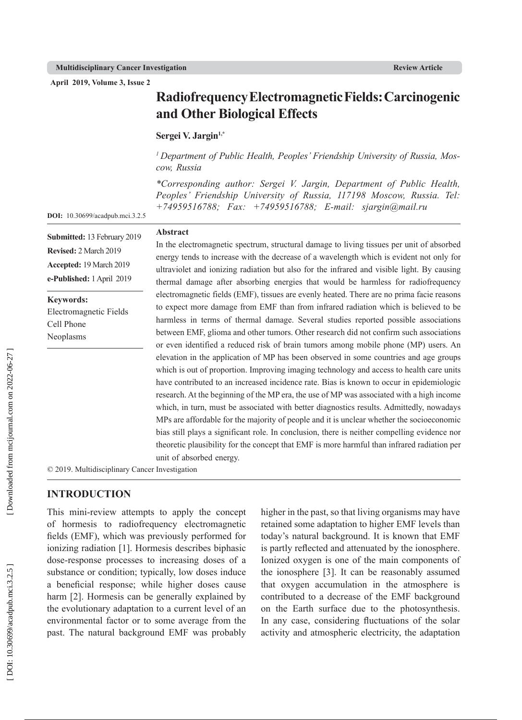**April 2019, Volume 3, Issue 2**

# **Radiofrequency Electromagnetic Fields: Carcinogenic and Other Biological Effects**

#### Sergei V. Jargin<sup>1,\*</sup>

**Abstract**

*1 Department of Public Health, Peoples' Friendship University of Russia, Mos cow, Russia*

*\*Corresponding author: Sergei V. Jargin, Department of Public Health, Peoples' Friendship University of Russia, 117198 Moscow, Russia. Tel: +74959516788; Fax: +74959516788; E-mail: sjargin@mail.ru*

**DOI:** 10.30699/acadpub.mci.3.2.5

**Submitted:** 13 February 2019 **Revised:** 2 March 2019 **Accepted:** 19 March 2019 **e-Published:** 1 April 2019

**Keywords:**

Electromagnetic Fields Cell Phone Neoplasms

In the electromagnetic spectrum, structural damage to living tissues per unit of absorbed energy tends to increase with the decrease of a wavelength which is evident not only for ultraviolet and ionizing radiation but also for the infrared and visible light. By causing thermal damage after absorbing energies that would be harmless for radiofrequency electromagnetic fields (EMF), tissues are evenly heated. There are no prima facie reasons to expect more damage from EMF than from infrared radiation which is believed to be harmless in terms of thermal damage. Several studies reported possible associations between EMF, glioma and other tumors. Other research did not confirm such associations or even identified a reduced risk of brain tumors among mobile phone (MP) users. An elevation in the application of MP has been observed in some countries and age groups which is out of proportion. Improving imaging technology and access to health care units have contributed to an increased incidence rate. Bias is known to occur in epidemiologic research. At the beginning of the MP era, the use of MP was associated with a high income which, in turn, must be associated with better diagnostics results. Admittedly, nowadays MPs are affordable for the majority of people and it is unclear whether the socioeconomic bias still plays a significant role. In conclusion, there is neither compelling evidence nor theoretic plausibility for the concept that EMF is more harmful than infrared radiation per unit of absorbed energy.

© 2019. Multidisciplinary Cancer Investigation

# **INTRODUCTION**

This mini-review attempts to apply the concept of hormesis to radiofrequency electromagnetic fields (EMF), which was previously performed for ionizing radiation [1]. Hormesis describes biphasic dose-response processes to increasing doses of a substance or condition; typically, low doses induce a beneficial response; while higher doses cause harm [2]. Hormesis can be generally explained by the evolutionary adaptation to a current level of an environmental factor or to some average from the past. The natural background EMF was probably higher in the past, so that living organisms may have retained some adaptation to higher EMF levels than today's natural background. It is known that EMF is partly reflected and attenuated by the ionosphere. Ionized oxygen is one of the main components of the ionosphere [3]. It can be reasonably assumed that oxygen accumulation in the atmosphere is contributed to a decrease of the EMF background on the Earth surface due to the photosynthesis. In any case, considering fluctuations of the solar activity and atmospheric electricity, the adaptation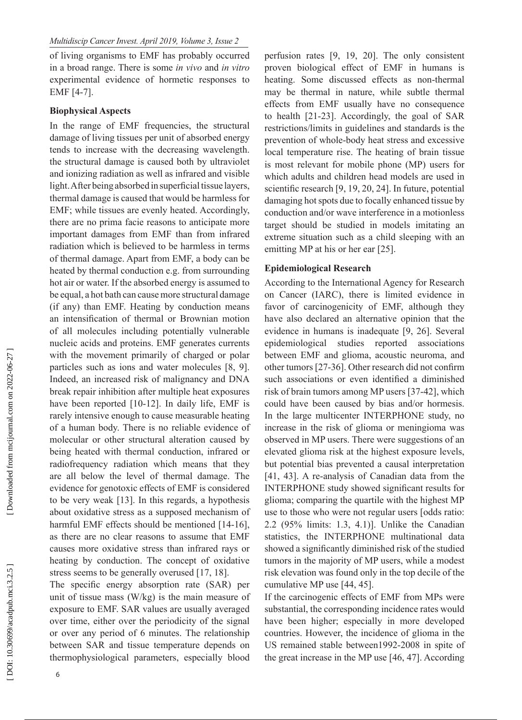of living organisms to EMF has probably occurred in a broad range. There is some *in vivo* and *in vitro* experimental evidence of hormetic responses to EMF [4-7].

## **Biophysical Aspects**

In the range of EMF frequencies, the structural damage of living tissues per unit of absorbed energy tends to increase with the decreasing wavelength. the structural damage is caused both by ultraviolet and ionizing radiation as well as infrared and visible light. After being absorbed in superficial tissue layers, thermal damage is caused that would be harmless for EMF; while tissues are evenly heated. Accordingly, there are no prima facie reasons to anticipate more important damages from EMF than from infrared radiation which is believed to be harmless in terms of thermal damage. Apart from EMF, a body can be heated by thermal conduction e.g. from surrounding hot air or water. If the absorbed energy is assumed to be equal, a hot bath can cause more structural damage (if any) than EMF. Heating by conduction means an intensification of thermal or Brownian motion of all molecules including potentially vulnerable nucleic acids and proteins. EMF generates currents with the movement primarily of charged or polar particles such as ions and water molecules [8, 9]. Indeed, an increased risk of malignancy and DNA break repair inhibition after multiple heat exposures have been reported [10-12]. In daily life, EMF is rarely intensive enough to cause measurable heating of a human body. There is no reliable evidence of molecular or other structural alteration caused by being heated with thermal conduction, infrared or radiofrequency radiation which means that they are all below the level of thermal damage. The evidence for genotoxic effects of EMF is considered to be very weak [13]. In this regards, a hypothesis about oxidative stress as a supposed mechanism of harmful EMF effects should be mentioned [14-16], as there are no clear reasons to assume that EMF causes more oxidative stress than infrared rays or heating by conduction. The concept of oxidative stress seems to be generally overused [17, 18].

The specific energy absorption rate (SAR) per unit of tissue mass (W/kg) is the main measure of exposure to EMF. SAR values are usually averaged over time, either over the periodicity of the signal or over any period of 6 minutes. The relationship between SAR and tissue temperature depends on thermophysiological parameters, especially blood perfusion rates [9, 19, 20]. The only consistent proven biological effect of EMF in humans is heating. Some discussed effects as non-thermal may be thermal in nature, while subtle thermal effects from EMF usually have no consequence to health [21-23]. Accordingly, the goal of SAR restrictions/limits in guidelines and standards is the prevention of whole-body heat stress and excessive local temperature rise. The heating of brain tissue is most relevant for mobile phone (MP) users for which adults and children head models are used in scientific research [9, 19, 20, 24]. In future, potential damaging hot spots due to focally enhanced tissue by conduction and/or wave interference in a motionless target should be studied in models imitating an extreme situation such as a child sleeping with an emitting MP at his or her ear [25].

#### **Epidemiological Research**

According to the International Agency for Research on Cancer (IARC), there is limited evidence in favor of carcinogenicity of EMF, although they have also declared an alternative opinion that the evidence in humans is inadequate [9, 26]. Several epidemiological studies reported associations between EMF and glioma, acoustic neuroma, and other tumors [27-36]. Other research did not confirm such associations or even identified a diminished risk of brain tumors among MP users [37-42], which could have been caused by bias and/or hormesis. In the large multicenter INTERPHONE study, no increase in the risk of glioma or meningioma was observed in MP users. There were suggestions of an elevated glioma risk at the highest exposure levels, but potential bias prevented a causal interpretation [41, 43]. A re-analysis of Canadian data from the INTERPHONE study showed significant results for glioma; comparing the quartile with the highest MP use to those who were not regular users [odds ratio: 2.2 (95% limits: 1.3, 4.1)]. Unlike the Canadian statistics, the INTERPHONE multinational data showed a significantly diminished risk of the studied tumors in the majority of MP users, while a modest risk elevation was found only in the top decile of the cumulative MP use [44, 45].

If the carcinogenic effects of EMF from MPs were substantial, the corresponding incidence rates would have been higher; especially in more developed countries. However, the incidence of glioma in the US remained stable between1992-2008 in spite of the great increase in the MP use [46, 47]. According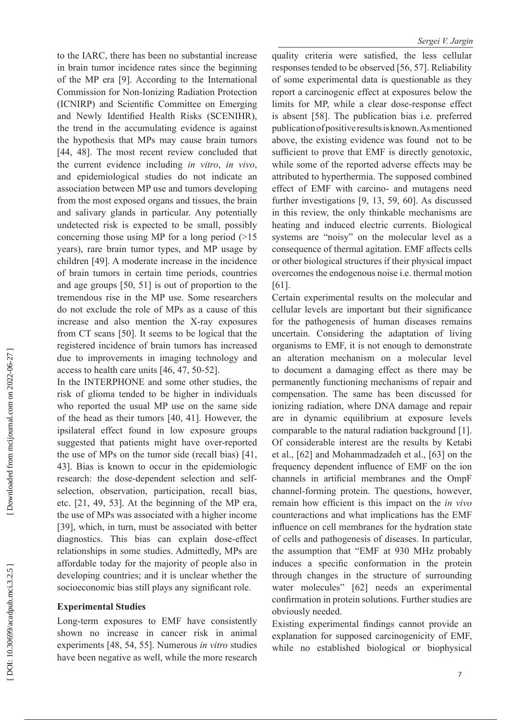to the IARC, there has been no substantial increase in brain tumor incidence rates since the beginning of the MP era [9]. According to the International Commission for Non-Ionizing Radiation Protection (ICNIRP) and Scientific Committee on Emerging and Newly Identified Health Risks (SCENIHR), the trend in the accumulating evidence is against the hypothesis that MPs may cause brain tumors [44, 48]. The most recent review concluded that the current evidence including *in vitro*, *in vivo*, and epidemiological studies do not indicate an association between MP use and tumors developing from the most exposed organs and tissues, the brain and salivary glands in particular. Any potentially undetected risk is expected to be small, possibly concerning those using MP for a long period (>15 years), rare brain tumor types, and MP usage by children [49]. A moderate increase in the incidence of brain tumors in certain time periods, countries and age groups [50, 51] is out of proportion to the tremendous rise in the MP use. Some researchers do not exclude the role of MPs as a cause of this increase and also mention the X-ray exposures from CT scans [50]. It seems to be logical that the registered incidence of brain tumors has increased due to improvements in imaging technology and access to health care units [46, 47, 50-52].

In the INTERPHONE and some other studies, the risk of glioma tended to be higher in individuals who reported the usual MP use on the same side of the head as their tumors [40, 41]. However, the ipsilateral effect found in low exposure groups suggested that patients might have over-reported the use of MPs on the tumor side (recall bias) [41, 43]. Bias is known to occur in the epidemiologic research: the dose-dependent selection and selfselection, observation, participation, recall bias, etc. [21, 49, 53]. At the beginning of the MP era, the use of MPs was associated with a higher income [39], which, in turn, must be associated with better diagnostics. This bias can explain dose-effect relationships in some studies. Admittedly, MPs are affordable today for the majority of people also in developing countries; and it is unclear whether the socioeconomic bias still plays any significant role.

## **Experimental Studies**

Long-term exposures to EMF have consistently shown no increase in cancer risk in animal experiments [48, 54, 55]. Numerous *in vitro* studies have been negative as well, while the more research quality criteria were satisfied, the less cellular responses tended to be observed [56, 57]. Reliability of some experimental data is questionable as they report a carcinogenic effect at exposures below the limits for MP, while a clear dose-response effect is absent [58]. The publication bias i.e. preferred publication of positive results is known. As mentioned above, the existing evidence was found not to be sufficient to prove that EMF is directly genotoxic, while some of the reported adverse effects may be attributed to hyperthermia. The supposed combined effect of EMF with carcino- and mutagens need further investigations [9, 13, 59, 60]. As discussed in this review, the only thinkable mechanisms are heating and induced electric currents. Biological systems are "noisy" on the molecular level as a consequence of thermal agitation. EMF affects cells or other biological structures if their physical impact overcomes the endogenous noise i.e. thermal motion [61].

Certain experimental results on the molecular and cellular levels are important but their significance for the pathogenesis of human diseases remains uncertain. Considering the adaptation of living organisms to EMF, it is not enough to demonstrate an alteration mechanism on a molecular level to document a damaging effect as there may be permanently functioning mechanisms of repair and compensation. The same has been discussed for ionizing radiation, where DNA damage and repair are in dynamic equilibrium at exposure levels comparable to the natural radiation background [1]. Of considerable interest are the results by Ketabi et al., [62] and Mohammadzadeh et al., [63] on the frequency dependent influence of EMF on the ion channels in artificial membranes and the OmpF channel-forming protein. The questions, however, remain how efficient is this impact on the *in vivo* counteractions and what implications has the EMF influence on cell membranes for the hydration state of cells and pathogenesis of diseases. In particular, the assumption that "EMF at 930 MHz probably induces a specific conformation in the protein through changes in the structure of surrounding water molecules" [62] needs an experimental confirmation in protein solutions. Further studies are obviously needed.

Existing experimental findings cannot provide an explanation for supposed carcinogenicity of EMF, while no established biological or biophysical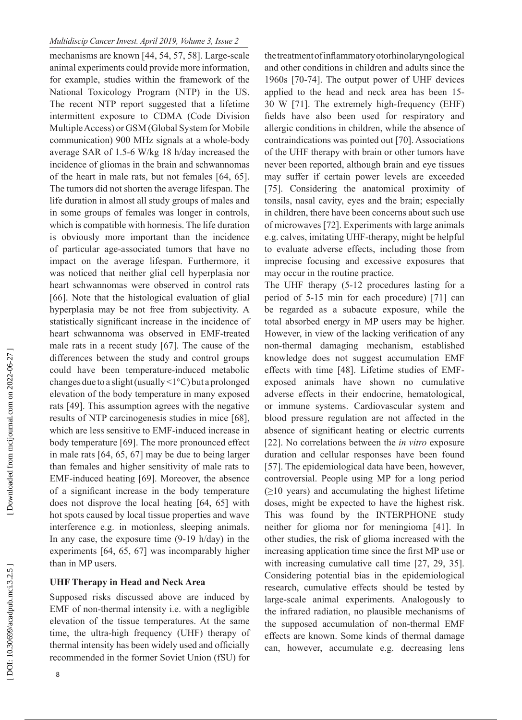#### *Multidiscip Cancer Invest. April 2019, Volume 3, Issue 2*

mechanisms are known [44, 54, 57, 58]. Large-scale animal experiments could provide more information, for example, studies within the framework of the National Toxicology Program (NTP) in the US. The recent NTP report suggested that a lifetime intermittent exposure to CDMA (Code Division Multiple Access) or GSM (Global System for Mobile communication) 900 MHz signals at a whole-body average SAR of 1.5-6 W/kg 18 h/day increased the incidence of gliomas in the brain and schwannomas of the heart in male rats, but not females [64, 65]. The tumors did not shorten the average lifespan. The life duration in almost all study groups of males and in some groups of females was longer in controls, which is compatible with hormesis. The life duration is obviously more important than the incidence of particular age-associated tumors that have no impact on the average lifespan. Furthermore, it was noticed that neither glial cell hyperplasia nor heart schwannomas were observed in control rats [66]. Note that the histological evaluation of glial hyperplasia may be not free from subjectivity. A statistically significant increase in the incidence of heart schwannoma was observed in EMF-treated male rats in a recent study [67]. The cause of the differences between the study and control groups could have been temperature-induced metabolic changes due to a slight (usually <1°C) but a prolonged elevation of the body temperature in many exposed rats [49]. This assumption agrees with the negative results of NTP carcinogenesis studies in mice [68], which are less sensitive to EMF-induced increase in body temperature [69]. The more pronounced effect in male rats [64, 65, 67] may be due to being larger than females and higher sensitivity of male rats to EMF-induced heating [69]. Moreover, the absence of a significant increase in the body temperature does not disprove the local heating [64, 65] with hot spots caused by local tissue properties and wave interference e.g. in motionless, sleeping animals. In any case, the exposure time (9-19 h/day) in the experiments [64, 65, 67] was incomparably higher than in MP users.

## **UHF Therapy in Head and Neck Area**

Supposed risks discussed above are induced by EMF of non-thermal intensity i.e. with a negligible elevation of the tissue temperatures. At the same time, the ultra-high frequency (UHF) therapy of thermal intensity has been widely used and officially recommended in the former Soviet Union (fSU) for the treatment of inflammatory otorhinolaryngological and other conditions in children and adults since the 1960s [70-74]. The output power of UHF devices applied to the head and neck area has been 15- 30 W [71]. The extremely high-frequency (EHF) fields have also been used for respiratory and allergic conditions in children, while the absence of contraindications was pointed out [70]. Associations of the UHF therapy with brain or other tumors have never been reported, although brain and eye tissues may suffer if certain power levels are exceeded [75]. Considering the anatomical proximity of tonsils, nasal cavity, eyes and the brain; especially in children, there have been concerns about such use of microwaves [72]. Experiments with large animals e.g. calves, imitating UHF-therapy, might be helpful to evaluate adverse effects, including those from imprecise focusing and excessive exposures that may occur in the routine practice.

The UHF therapy (5-12 procedures lasting for a period of 5-15 min for each procedure) [71] can be regarded as a subacute exposure, while the total absorbed energy in MP users may be higher. However, in view of the lacking verification of any non-thermal damaging mechanism, established knowledge does not suggest accumulation EMF effects with time [48]. Lifetime studies of EMFexposed animals have shown no cumulative adverse effects in their endocrine, hematological, or immune systems. Cardiovascular system and blood pressure regulation are not affected in the absence of significant heating or electric currents [22]. No correlations between the *in vitro* exposure duration and cellular responses have been found [57]. The epidemiological data have been, however, controversial. People using MP for a long period  $(≥10 \text{ years})$  and accumulating the highest lifetime doses, might be expected to have the highest risk. This was found by the INTERPHONE study neither for glioma nor for meningioma [41]. In other studies, the risk of glioma increased with the increasing application time since the first MP use or with increasing cumulative call time [27, 29, 35]. Considering potential bias in the epidemiological research, cumulative effects should be tested by large-scale animal experiments. Analogously to the infrared radiation, no plausible mechanisms of the supposed accumulation of non-thermal EMF effects are known. Some kinds of thermal damage can, however, accumulate e.g. decreasing lens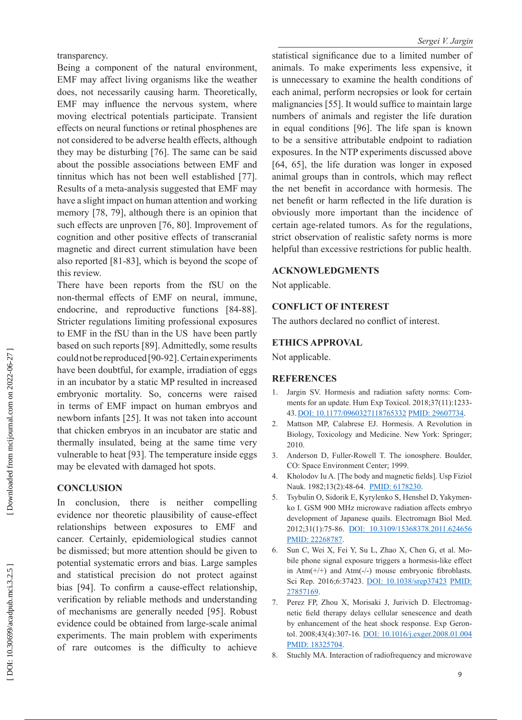transparency.

Being a component of the natural environment, EMF may affect living organisms like the weather does, not necessarily causing harm. Theoretically, EMF may influence the nervous system, where moving electrical potentials participate. Transient effects on neural functions or retinal phosphenes are not considered to be adverse health effects, although they may be disturbing [76]. The same can be said about the possible associations between EMF and tinnitus which has not been well established [77]. Results of a meta-analysis suggested that EMF may have a slight impact on human attention and working memory [78, 79], although there is an opinion that such effects are unproven [76, 80]. Improvement of cognition and other positive effects of transcranial magnetic and direct current stimulation have been also reported [81-83], which is beyond the scope of this review.

There have been reports from the fSU on the non-thermal effects of EMF on neural, immune, endocrine, and reproductive functions [84-88]. Stricter regulations limiting professional exposures to EMF in the fSU than in the US have been partly based on such reports [89]. Admittedly, some results could not be reproduced [90-92]. Certain experiments have been doubtful, for example, irradiation of eggs in an incubator by a static MP resulted in increased embryonic mortality. So, concerns were raised in terms of EMF impact on human embryos and newborn infants [25]. It was not taken into account that chicken embryos in an incubator are static and thermally insulated, being at the same time very vulnerable to heat [93]. The temperature inside eggs may be elevated with damaged hot spots.

# **CONCLUSION**

In conclusion, there is neither compelling evidence nor theoretic plausibility of cause-effect relationships between exposures to EMF and cancer. Certainly, epidemiological studies cannot be dismissed; but more attention should be given to potential systematic errors and bias. Large samples and statistical precision do not protect against bias [94]. To confirm a cause-effect relationship, verification by reliable methods and understanding of mechanisms are generally needed [95]. Robust evidence could be obtained from large-scale animal experiments. The main problem with experiments of rare outcomes is the difficulty to achieve statistical significance due to a limited number of animals. To make experiments less expensive, it is unnecessary to examine the health conditions of each animal, perform necropsies or look for certain malignancies [55]. It would suffice to maintain large numbers of animals and register the life duration in equal conditions [96]. The life span is known to be a sensitive attributable endpoint to radiation exposures. In the NTP experiments discussed above [64, 65], the life duration was longer in exposed animal groups than in controls, which may reflect the net benefit in accordance with hormesis. The net benefit or harm reflected in the life duration is obviously more important than the incidence of certain age-related tumors. As for the regulations, strict observation of realistic safety norms is more helpful than excessive restrictions for public health.

## **ACKNOWLEDGMENTS**

Not applicable.

# **CONFLICT OF INTEREST**

The authors declared no conflict of interest.

## **ETHICS APPROVAL**

Not applicable.

## **REFERENCES**

- 1. Jargin SV. Hormesis and radiation safety norms: Com ments for an update. Hum Exp Toxicol. 2018;37(11):1233- 43.[DOI: 10.1177/0960327118765332](http://dx.doi.org/10.1177/0960327118765332) [PMID: 29607734](http://www.ncbi.nlm.nih.gov/pubmed/29607734) .
- 2. Mattson MP, Calabrese EJ. Hormesis. A Revolution in Biology, Toxicology and Medicine. New York: Springer; 2010.
- 3. Anderson D, Fuller-Rowell T. The ionosphere. Boulder, CO: Space Environment Center; 1999.
- 4. Kholodov Iu A. [The body and magnetic fields]. Usp Fiziol Nauk. 1982;13(2):48-64. [PMID: 6178230](http://www.ncbi.nlm.nih.gov/pubmed/6178230).
- 5. Tsybulin O, Sidorik E, Kyrylenko S, Henshel D, Yakymen ko I. GSM 900 MHz microwave radiation affects embryo development of Japanese quails. Electromagn Biol Med. 2012;31(1):75-86. [DOI: 10.3109/15368378.2011.624656](http://dx.doi.org/10.3109/15368378.2011.624656) [PMID: 22268787](http://www.ncbi.nlm.nih.gov/pubmed/22268787) .
- 6. Sun C, Wei X, Fei Y, Su L, Zhao X, Chen G, et al. Mo bile phone signal exposure triggers a hormesis-like effect in  $Atm(+)+$ ) and  $Atm(-)$  mouse embryonic fibroblasts. Sci Rep. 2016;6:37423. [DOI: 10.1038/srep37423](http://dx.doi.org/10.1038/srep37423) PMID: [27857169](http://www.ncbi.nlm.nih.gov/pubmed/27857169) .
- 7. Perez FP, Zhou X, Morisaki J, Jurivich D. Electromag netic field therapy delays cellular senescence and death by enhancement of the heat shock response. Exp Geron tol. 2008;43(4):307-16. [DOI: 10.1016/j.exger.2008.01.004](http://dx.doi.org/10.1016/j.exger.2008.01.004) [PMID: 18325704](http://www.ncbi.nlm.nih.gov/pubmed/18325704) .
- 8. Stuchly MA. Interaction of radiofrequency and microwave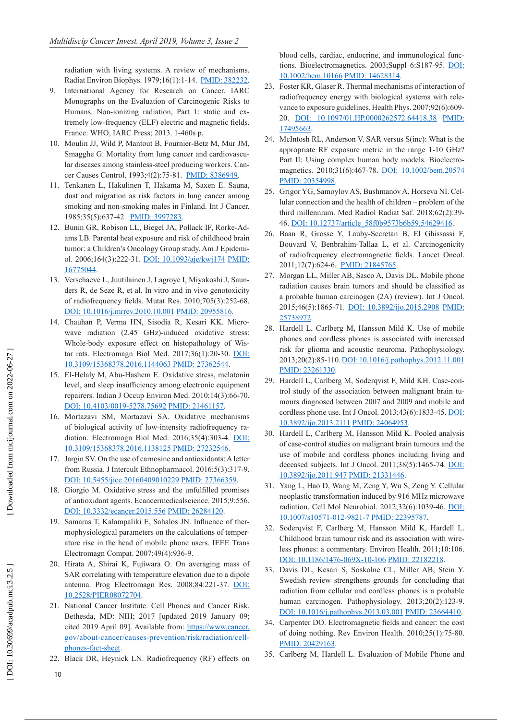radiation with living systems. A review of mechanisms. Radiat Environ Biophys. 1979;16(1):1-14. [PMID: 382232](http://www.ncbi.nlm.nih.gov/pubmed/382232) .

- 9. International Agency for Research on Cancer. IARC Monographs on the Evaluation of Carcinogenic Risks to Humans. Non-ionizing radiation, Part 1: static and ex tremely low-frequency (ELF) electric and magnetic fields. France: WHO, IARC Press; 2013. 1-460s p.
- 10. Moulin JJ, Wild P, Mantout B, Fournier-Betz M, Mur JM, Smagghe G. Mortality from lung cancer and cardiovascu lar diseases among stainless-steel producing workers. Can - cer Causes Control. 1993;4(2):75-81. [PMID: 8386949](http://www.ncbi.nlm.nih.gov/pubmed/8386949).
- 11. Tenkanen L, Hakulinen T, Hakama M, Saxen E. Sauna, dust and migration as risk factors in lung cancer among smoking and non-smoking males in Finland. Int J Cancer. 1985;35(5):637-42. <u>[PMID: 3997283](http://www.ncbi.nlm.nih.gov/pubmed/3997283)</u>.
- 12. Bunin GR, Robison LL, Biegel JA, Pollack IF, Rorke-Ad ams LB. Parental heat exposure and risk of childhood brain tumor: a Children's Oncology Group study. Am J Epidemi ol. 2006;164(3):222-31. [DOI: 10.1093/aje/kwj174](http://dx.doi.org/10.1093/aje/kwj174) [PMID:](http://www.ncbi.nlm.nih.gov/pubmed/16775044)  [16775044](http://www.ncbi.nlm.nih.gov/pubmed/16775044) .
- 13. Verschaeve L, Juutilainen J, Lagroye I, Miyakoshi J, Saun ders R, de Seze R, et al. In vitro and in vivo genotoxicity of radiofrequency fields. Mutat Res. 2010;705(3):252-68. [DOI: 10.1016/j.mrrev.2010.10.001](http://dx.doi.org/10.1016/j.mrrev.2010.10.001) [PMID: 20955816](http://www.ncbi.nlm.nih.gov/pubmed/20955816) .
- 14. Chauhan P, Verma HN, Sisodia R, Kesari KK. Micro wave radiation (2.45 GHz)-induced oxidative stress: Whole-body exposure effect on histopathology of Wis tar rats. Electromagn Biol Med. 2017;36(1):20-30. [DOI:](http://dx.doi.org/10.3109/15368378.2016.1144063)  [10.3109/15368378.2016.1144063](http://dx.doi.org/10.3109/15368378.2016.1144063) [PMID: 27362544](http://www.ncbi.nlm.nih.gov/pubmed/27362544) .
- 15. El-Helaly M, Abu-Hashem E. Oxidative stress, melatonin level, and sleep insufficiency among electronic equipment repairers. Indian J Occup Environ Med. 2010;14(3):66-70. [DOI: 10.4103/0019-5278.75692](http://dx.doi.org/10.4103/0019-5278.75692) [PMID: 21461157](http://www.ncbi.nlm.nih.gov/pubmed/21461157) .
- 16. Mortazavi SM, Mortazavi SA. Oxidative mechanisms of biological activity of low-intensity radiofrequency ra diation. Electromagn Biol Med. 2016;35(4):303-4. [DOI:](http://dx.doi.org/10.3109/15368378.2016.1138125)  [10.3109/15368378.2016.1138125](http://dx.doi.org/10.3109/15368378.2016.1138125) [PMID: 27232546](http://www.ncbi.nlm.nih.gov/pubmed/27232546) .
- 17. Jargin SV. On the use of carnosine and antioxidants: A letter from Russia. J Intercult Ethnopharmacol. 2016;5(3):317-9. [DOI: 10.5455/jice.20160409010229](http://dx.doi.org/10.5455/jice.20160409010229) [PMID: 27366359](http://www.ncbi.nlm.nih.gov/pubmed/27366359) .
- 18. Giorgio M. Oxidative stress and the unfulfilled promises of antioxidant agents. Ecancermedicalscience. 2015;9:556. [DOI: 10.3332/ecancer.2015.556](http://dx.doi.org/10.3332/ecancer.2015.556) [PMID: 26284120](http://www.ncbi.nlm.nih.gov/pubmed/26284120) .
- 19. Samaras T, Kalampaliki E, Sahalos JN. Influence of ther mophysiological parameters on the calculations of temper ature rise in the head of mobile phone users. IEEE Trans Electromagn Compat. 2007;49(4):936-9.
- 20. Hirata A, Shirai K, Fujiwara O. On averaging mass of SAR correlating with temperature elevation due to a dipole antenna. Prog Electromagn Res. 2008;84:221-37. [DOI:](http://dx.doi.org/10.2528/PIER08072704.)  [10.2528/PIER08072704](http://dx.doi.org/10.2528/PIER08072704.) .
- 21. National Cancer Institute. Cell Phones and Cancer Risk. Bethesda, MD: NIH; 2017 [updated 2019 January 09; cited 2019 April 09]. Available from: [https://www.cancer.](http://www.cancer.gov/about-cancer/causes-prevention/risk/radiation/cell-phones-fact-sheet) [gov/about-cancer/causes-prevention/risk/radiation/cell](http://www.cancer.gov/about-cancer/causes-prevention/risk/radiation/cell-phones-fact-sheet) [phones-fact-sheet](http://www.cancer.gov/about-cancer/causes-prevention/risk/radiation/cell-phones-fact-sheet) .
- 22. Black DR, Heynick LN. Radiofrequency (RF) effects on

blood cells, cardiac, endocrine, and immunological func tions. Bioelectromagnetics. 2003;Suppl 6:S187-95. [DOI:](http://dx.doi.org/10.1002/bem.10166) [10.1002/bem.10166](http://dx.doi.org/10.1002/bem.10166) [PMID: 14628314](http://www.ncbi.nlm.nih.gov/pubmed/14628314) .

- 23. Foster KR, Glaser R. Thermal mechanisms of interaction of radiofrequency energy with biological systems with rele vance to exposure guidelines. Health Phys. 2007;92(6):609- 20. [DOI: 10.1097/01.HP.0000262572.64418.38](http://dx.doi.org/10.1097/01.HP.0000262572.64418.38) [PMID:](http://www.ncbi.nlm.nih.gov/pubmed/17495663) [17495663](http://www.ncbi.nlm.nih.gov/pubmed/17495663) .
- 24. McIntosh RL, Anderson V. SAR versus S(inc): What is the appropriate RF exposure metric in the range 1-10 GHz? Part II: Using complex human body models. Bioelectro - magnetics. 2010;31(6):467-78. [DOI: 10.1002/bem.20574](http://dx.doi.org/10.1002/bem.20574) [PMID: 20354998](http://www.ncbi.nlm.nih.gov/pubmed/20354998) .
- 25. Grigor YG, Samoylov AS, Bushmanov A, Horseva NI. Cel lular connection and the health of children – problem of the third millennium. Med Radiol Radiat Saf. 2018;62(2):39- 46. [DOI: 10.12737/article\\_58f0b9573b6b59.54629416](http://dx.doi.org/10.12737/article_58f0b9573b6b59.54629416) .
- 26. Baan R, Grosse Y, Lauby-Secretan B, El Ghissassi F, Bouvard V, Benbrahim-Tallaa L, et al. Carcinogenicity of radiofrequency electromagnetic fields. Lancet Oncol. 2011;12(7):624-6. [PMID: 21845765](http://www.ncbi.nlm.nih.gov/pubmed/21845765).
- 27. Morgan LL, Miller AB, Sasco A, Davis DL. Mobile phone radiation causes brain tumors and should be classified as a probable human carcinogen (2A) (review). Int J Oncol. 2015;46(5):1865-71. [DOI: 10.3892/ijo.2015.2908](http://dx.doi.org/10.3892/ijo.2015.2908) [PMID:](http://www.ncbi.nlm.nih.gov/pubmed/25738972) [25738972](http://www.ncbi.nlm.nih.gov/pubmed/25738972) .
- 28. Hardell L, Carlberg M, Hansson Mild K. Use of mobile phones and cordless phones is associated with increased risk for glioma and acoustic neuroma. Pathophysiology. 2013;20(2):85-110. [DOI: 10.1016/j.pathophys.2012.11.001](http://dx.doi.org/10.1016/j.pathophys.2012.11.001) [PMID: 23261330](http://www.ncbi.nlm.nih.gov/pubmed/23261330).
- 29. Hardell L, Carlberg M, Soderqvist F, Mild KH. Case-con trol study of the association between malignant brain tu mours diagnosed between 2007 and 2009 and mobile and cordless phone use. Int J Oncol. 2013;43(6):1833-45. [DOI:](http://dx.doi.org/10.3892/ijo.2013.2111) [10.3892/ijo.2013.2111](http://dx.doi.org/10.3892/ijo.2013.2111) [PMID: 24064953](http://www.ncbi.nlm.nih.gov/pubmed/24064953) .
- 30. Hardell L, Carlberg M, Hansson Mild K. Pooled analysis of case-control studies on malignant brain tumours and the use of mobile and cordless phones including living and deceased subjects. Int J Oncol. 2011;38(5):1465-74. [DOI:](http://dx.doi.org/10.3892/ijo.2011.947) [10.3892/ijo.2011.947](http://dx.doi.org/10.3892/ijo.2011.947) [PMID: 21331446](http://www.ncbi.nlm.nih.gov/pubmed/21331446) .
- 31. Yang L, Hao D, Wang M, Zeng Y, Wu S, Zeng Y. Cellular neoplastic transformation induced by 916 MHz microwave radiation. Cell Mol Neurobiol. 2012;32(6):1039-46. [DOI:](http://dx.doi.org/10.1007/s10571-012-9821-7) [10.1007/s10571-012-9821-7](http://dx.doi.org/10.1007/s10571-012-9821-7) [PMID: 22395787](http://www.ncbi.nlm.nih.gov/pubmed/22395787) .
- 32. Soderqvist F, Carlberg M, Hansson Mild K, Hardell L. Childhood brain tumour risk and its association with wire less phones: a commentary. Environ Health. 2011;10:106. [DOI: 10.1186/1476-069X-10-106](http://dx.doi.org/10.1186/1476-069X-10-106) [PMID: 22182218](http://www.ncbi.nlm.nih.gov/pubmed/22182218) .
- 33. Davis DL, Kesari S, Soskolne CL, Miller AB, Stein Y. Swedish review strengthens grounds for concluding that radiation from cellular and cordless phones is a probable human carcinogen. Pathophysiology. 2013;20(2):123-9. [DOI: 10.1016/j.pathophys.2013.03.001](http://dx.doi.org/10.1016/j.pathophys.2013.03.001) [PMID: 23664410](http://www.ncbi.nlm.nih.gov/pubmed/23664410) .
- 34. Carpenter DO. Electromagnetic fields and cancer: the cost of doing nothing. Rev Environ Health. 2010;25(1):75-80. [PMID: 20429163](http://www.ncbi.nlm.nih.gov/pubmed/20429163).
- 35. Carlberg M, Hardell L. Evaluation of Mobile Phone and

10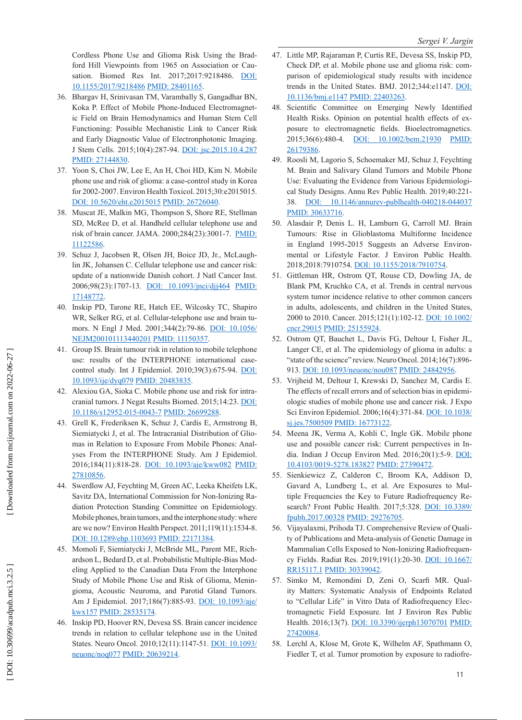Cordless Phone Use and Glioma Risk Using the Brad ford Hill Viewpoints from 1965 on Association or Cau - sation. Biomed Res Int. 2017;2017:9218486. [DOI:](http://dx.doi.org/10.1155/2017/9218486) [10.1155/2017/9218486](http://dx.doi.org/10.1155/2017/9218486) [PMID: 28401165](http://www.ncbi.nlm.nih.gov/pubmed/28401165) .

- 36. Bhargav H, Srinivasan TM, Varambally S, Gangadhar BN, Koka P. Effect of Mobile Phone-Induced Electromagnet ic Field on Brain Hemodynamics and Human Stem Cell Functioning: Possible Mechanistic Link to Cancer Risk and Early Diagnostic Value of Electronphotonic Imaging. J Stem Cells. 2015;10(4):287-94. [DOI: jsc.2015.10.4.287](http://dx.doi.org/jsc.2015.10.4.287) <u>[PMID: 27144830](http://www.ncbi.nlm.nih.gov/pubmed/27144830)</u>.
- 37. Yoon S, Choi JW, Lee E, An H, Choi HD, Kim N. Mobile phone use and risk of glioma: a case-control study in Korea for 2002-2007. Environ Health Toxicol. 2015;30:e2015015. [DOI: 10.5620/eht.e2015015](http://dx.doi.org/10.5620/eht.e2015015) [PMID: 26726040](http://www.ncbi.nlm.nih.gov/pubmed/26726040) .
- 38. Muscat JE, Malkin MG, Thompson S, Shore RE, Stellman SD, McRee D, et al. Handheld cellular telephone use and risk of brain cancer. JAMA. 2000;284(23):3001-7. [PMID:](http://www.ncbi.nlm.nih.gov/pubmed/11122586) [11122586](http://www.ncbi.nlm.nih.gov/pubmed/11122586) .
- 39. Schuz J, Jacobsen R, Olsen JH, Boice JD, Jr., McLaugh lin JK, Johansen C. Cellular telephone use and cancer risk: update of a nationwide Danish cohort. J Natl Cancer Inst. 2006;98(23):1707-13. [DOI: 10.1093/jnci/djj464](http://dx.doi.org/10.1093/jnci/djj464) [PMID:](http://www.ncbi.nlm.nih.gov/pubmed/17148772) [17148772](http://www.ncbi.nlm.nih.gov/pubmed/17148772) .
- 40. Inskip PD, Tarone RE, Hatch EE, Wilcosky TC, Shapiro WR, Selker RG, et al. Cellular-telephone use and brain tu mors. N Engl J Med. 2001;344(2):79-86. [DOI: 10.1056/](http://dx.doi.org/10.1056/NEJM200101113440201) [NEJM200101113440201](http://dx.doi.org/10.1056/NEJM200101113440201) [PMID: 11150357](http://www.ncbi.nlm.nih.gov/pubmed/11150357) .
- 41. Group IS. Brain tumour risk in relation to mobile telephone use: results of the INTERPHONE international casecontrol study. Int J Epidemiol. 2010;39(3):675-94. [DOI:](http://dx.doi.org/10.1093/ije/dyq079) [10.1093/ije/dyq079](http://dx.doi.org/10.1093/ije/dyq079) [PMID: 20483835](http://www.ncbi.nlm.nih.gov/pubmed/20483835) .
- 42. Alexiou GA, Sioka C. Mobile phone use and risk for intra cranial tumors. J Negat Results Biomed. 2015;14:23. [DOI:](http://dx.doi.org/10.1186/s12952-015-0043-7) [10.1186/s12952-015-0043-7](http://dx.doi.org/10.1186/s12952-015-0043-7) [PMID: 26699288](http://www.ncbi.nlm.nih.gov/pubmed/26699288) .
- 43. Grell K, Frederiksen K, Schuz J, Cardis E, Armstrong B, Siemiatycki J, et al. The Intracranial Distribution of Glio mas in Relation to Exposure From Mobile Phones: Anal yses From the INTERPHONE Study. Am J Epidemiol. 2016;184(11):818-28. [DOI: 10.1093/aje/kww082](http://dx.doi.org/10.1093/aje/kww082) [PMID:](http://www.ncbi.nlm.nih.gov/pubmed/27810856) <u>[27810856](http://www.ncbi.nlm.nih.gov/pubmed/27810856)</u>.
- 44. Swerdlow AJ, Feychting M, Green AC, Leeka Kheifets LK, Savitz DA, International Commission for Non-Ionizing Ra diation Protection Standing Committee on Epidemiology. Mobile phones, brain tumors, and the interphone study: where are we now? Environ Health Perspect. 2011;119(11):1534-8. [DOI: 10.1289/ehp.1103693](http://dx.doi.org/10.1289/ehp.1103693) [PMID: 22171384](http://www.ncbi.nlm.nih.gov/pubmed/22171384) .
- 45. Momoli F, Siemiatycki J, McBride ML, Parent ME, Rich ardson L, Bedard D, et al. Probabilistic Multiple-Bias Mod eling Applied to the Canadian Data From the Interphone Study of Mobile Phone Use and Risk of Glioma, Menin gioma, Acoustic Neuroma, and Parotid Gland Tumors. Am J Epidemiol. 2017;186(7):885-93. [DOI: 10.1093/aje/](http://dx.doi.org/10.1093/aje/kwx157) <u>[kwx157](http://dx.doi.org/10.1093/aje/kwx157) [PMID: 28535174](http://www.ncbi.nlm.nih.gov/pubmed/28535174)</u>.
- 46. Inskip PD, Hoover RN, Devesa SS. Brain cancer incidence trends in relation to cellular telephone use in the United States. Neuro Oncol. 2010;12(11):1147-51. **[DOI: 10.1093/](http://dx.doi.org/10.1093/neuonc/noq077)** [neuonc/noq077](http://dx.doi.org/10.1093/neuonc/noq077) [PMID: 20639214](http://www.ncbi.nlm.nih.gov/pubmed/20639214) .
- 47. Little MP, Rajaraman P, Curtis RE, Devesa SS, Inskip PD, Check DP, et al. Mobile phone use and glioma risk: com parison of epidemiological study results with incidence trends in the United States. BMJ. 2012;344:e1147. [DOI:](http://dx.doi.org/10.1136/bmj.e1147)  [10.1136/bmj.e1147](http://dx.doi.org/10.1136/bmj.e1147) [PMID: 22403263](http://www.ncbi.nlm.nih.gov/pubmed/22403263) .
- 48. Scientific Committee on Emerging Newly Identified Health Risks. Opinion on potential health effects of ex posure to electromagnetic fields. Bioelectromagnetics. 2015;36(6):480-4. [DOI: 10.1002/bem.21930](http://dx.doi.org/10.1002/bem.21930) [PMID:](http://www.ncbi.nlm.nih.gov/pubmed/26179386)  [26179386](http://www.ncbi.nlm.nih.gov/pubmed/26179386) .
- 49. Roosli M, Lagorio S, Schoemaker MJ, Schuz J, Feychting M. Brain and Salivary Gland Tumors and Mobile Phone Use: Evaluating the Evidence from Various Epidemiologi cal Study Designs. Annu Rev Public Health. 2019;40:221- 38. [DOI: 10.1146/annurev-publhealth-040218-044037](http://dx.doi.org/10.1146/annurev-publhealth-040218-044037) [PMID: 30633716](http://www.ncbi.nlm.nih.gov/pubmed/30633716) .
- 50. Alasdair P, Denis L. H, Lamburn G, Carroll MJ. Brain Tumours: Rise in Glioblastoma Multiforme Incidence in England 1995-2015 Suggests an Adverse Environ mental or Lifestyle Factor. J Environ Public Health. 2018;2018:7910754. [DOI: 10.1155/2018/7910754](http://dx.doi.org/10.1155/2018/7910754) .
- 51. Gittleman HR, Ostrom QT, Rouse CD, Dowling JA, de Blank PM, Kruchko CA, et al. Trends in central nervous system tumor incidence relative to other common cancers in adults, adolescents, and children in the United States, 2000 to 2010. Cancer. 2015;121(1):102-12. [DOI: 10.1002/](http://dx.doi.org/10.1002/cncr.29015) [cncr.29015](http://dx.doi.org/10.1002/cncr.29015) [PMID: 25155924](http://www.ncbi.nlm.nih.gov/pubmed/25155924) .
- 52. Ostrom QT, Bauchet L, Davis FG, Deltour I, Fisher JL, Langer CE, et al. The epidemiology of glioma in adults: a "state of the science" review. Neuro Oncol. 2014;16(7):896- 913. [DOI: 10.1093/neuonc/nou087](http://dx.doi.org/10.1093/neuonc/nou087) [PMID: 24842956](http://www.ncbi.nlm.nih.gov/pubmed/24842956).
- 53. Vrijheid M, Deltour I, Krewski D, Sanchez M, Cardis E. The effects of recall errors and of selection bias in epidemi ologic studies of mobile phone use and cancer risk. J Expo Sci Environ Epidemiol. 2006;16(4):371-84. [DOI: 10.1038/](http://dx.doi.org/10.1038/sj.jes.7500509) [sj.jes.7500509](http://dx.doi.org/10.1038/sj.jes.7500509) [PMID: 16773122](http://www.ncbi.nlm.nih.gov/pubmed/16773122) .
- 54. Meena JK, Verma A, Kohli C, Ingle GK. Mobile phone use and possible cancer risk: Current perspectives in In dia. Indian J Occup Environ Med. 2016;20(1):5-9. [DOI:](http://dx.doi.org/10.4103/0019-5278.183827)  [10.4103/0019-5278.183827](http://dx.doi.org/10.4103/0019-5278.183827) [PMID: 27390472](http://www.ncbi.nlm.nih.gov/pubmed/27390472) .
- 55. Sienkiewicz Z, Calderon C, Broom KA, Addison D, Gavard A, Lundberg L, et al. Are Exposures to Mul tiple Frequencies the Key to Future Radiofrequency Re search? Front Public Health. 2017;5:328. [DOI: 10.3389/](http://dx.doi.org/10.3389/fpubh.2017.00328) [fpubh.2017.00328](http://dx.doi.org/10.3389/fpubh.2017.00328) [PMID: 29276705](http://www.ncbi.nlm.nih.gov/pubmed/29276705) .
- 56. Vijayalaxmi, Prihoda TJ. Comprehensive Review of Quali ty of Publications and Meta-analysis of Genetic Damage in Mammalian Cells Exposed to Non-Ionizing Radiofrequen cy Fields. Radiat Res. 2019;191(1):20-30. [DOI: 10.1667/](http://dx.doi.org/10.1667/RR15117.1) [RR15117.1](http://dx.doi.org/10.1667/RR15117.1) [PMID: 30339042](http://www.ncbi.nlm.nih.gov/pubmed/30339042) .
- 57. Simko M, Remondini D, Zeni O, Scarfi MR. Qual ity Matters: Systematic Analysis of Endpoints Related to "Cellular Life" in Vitro Data of Radiofrequency Elec tromagnetic Field Exposure. Int J Environ Res Public Health. 2016;13(7). [DOI: 10.3390/ijerph13070701](http://dx.doi.org/10.3390/ijerph13070701) PMID: [27420084](http://www.ncbi.nlm.nih.gov/pubmed/27420084) .
- 58. Lerchl A, Klose M, Grote K, Wilhelm AF, Spathmann O, Fiedler T, et al. Tumor promotion by exposure to radiofre-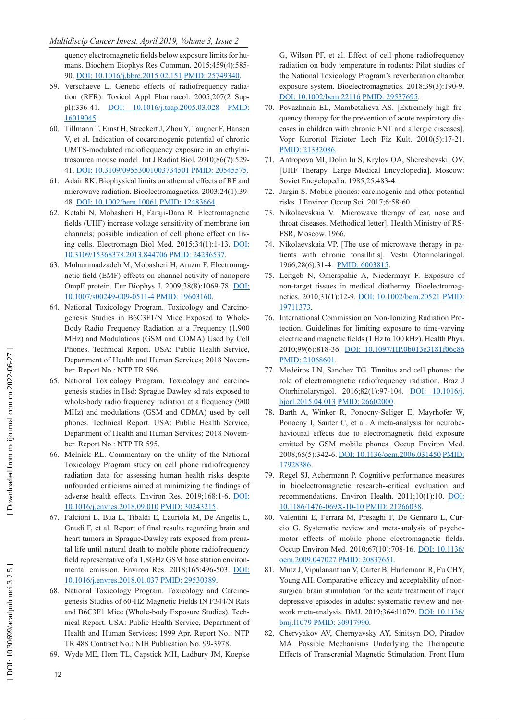#### *Multidiscip Cancer Invest. April 2019, Volume 3, Issue 2*

quency electromagnetic fields below exposure limits for hu mans. Biochem Biophys Res Commun. 2015;459(4):585- 90. <u>DOI: 10.1016/j.bbrc.2015.02.151 [PMID: 25749340](http://www.ncbi.nlm.nih.gov/pubmed/25749340)</u>.

- 59. Verschaeve L. Genetic effects of radiofrequency radia tion (RFR). Toxicol Appl Pharmacol. 2005;207(2 Sup pl):336-41. [DOI: 10.1016/j.taap.2005.03.028](http://dx.doi.org/10.1016/j.taap.2005.03.028) [PMID:](http://www.ncbi.nlm.nih.gov/pubmed/16019045)  [16019045](http://www.ncbi.nlm.nih.gov/pubmed/16019045) .
- 60. Tillmann T, Ernst H, Streckert J, Zhou Y, Taugner F, Hansen V, et al. Indication of cocarcinogenic potential of chronic UMTS-modulated radiofrequency exposure in an ethylni trosourea mouse model. Int J Radiat Biol. 2010;86(7):529- 41. [DOI: 10.3109/09553001003734501](http://dx.doi.org/10.3109/09553001003734501) [PMID: 20545575](http://www.ncbi.nlm.nih.gov/pubmed/20545575) .
- 61. Adair RK. Biophysical limits on athermal effects of RF and microwave radiation. Bioelectromagnetics. 2003;24(1):39- 48. [DOI: 10.1002/bem.10061](http://dx.doi.org/10.1002/bem.10061) [PMID: 12483664](http://www.ncbi.nlm.nih.gov/pubmed/12483664) .
- 62. Ketabi N, Mobasheri H, Faraji-Dana R. Electromagnetic fields (UHF) increase voltage sensitivity of membrane ion channels; possible indication of cell phone effect on liv ing cells. Electromagn Biol Med. 2015;34(1):1-13. [DOI:](http://dx.doi.org/10.3109/15368378.2013.844706)  [10.3109/15368378.2013.844706](http://dx.doi.org/10.3109/15368378.2013.844706) [PMID: 24236537](http://www.ncbi.nlm.nih.gov/pubmed/24236537) .
- 63. Mohammadzadeh M, Mobasheri H, Arazm F. Electromag netic field (EMF) effects on channel activity of nanopore OmpF protein. Eur Biophys J. 2009;38(8):1069-78. [DOI:](http://dx.doi.org/10.1007/s00249-009-0511-4)  [10.1007/s00249-009-0511-4](http://dx.doi.org/10.1007/s00249-009-0511-4) [PMID: 19603160](http://www.ncbi.nlm.nih.gov/pubmed/19603160) .
- 64. National Toxicology Program. Toxicology and Carcino genesis Studies in B6C3F1/N Mice Exposed to Whole-Body Radio Frequency Radiation at a Frequency (1,900 MHz) and Modulations (GSM and CDMA) Used by Cell Phones. Technical Report. USA: Public Health Service, Department of Health and Human Services; 2018 Novem ber. Report No.: NTP TR 596.
- 65. National Toxicology Program. Toxicology and carcino genesis studies in Hsd: Sprague Dawley sd rats exposed to whole-body radio frequency radiation at a frequency (900 MHz) and modulations (GSM and CDMA) used by cell phones. Technical Report. USA: Public Health Service, Department of Health and Human Services; 2018 Novem ber. Report No.: NTP TR 595.
- 66. Melnick RL. Commentary on the utility of the National Toxicology Program study on cell phone radiofrequency radiation data for assessing human health risks despite unfounded criticisms aimed at minimizing the findings of adverse health effects. Environ Res. 2019;168:1-6. [DOI:](http://dx.doi.org/10.1016/j.envres.2018.09.010)  [10.1016/j.envres.2018.09.010](http://dx.doi.org/10.1016/j.envres.2018.09.010) [PMID: 30243215](http://www.ncbi.nlm.nih.gov/pubmed/30243215) .
- 67. Falcioni L, Bua L, Tibaldi E, Lauriola M, De Angelis L, Gnudi F, et al. Report of final results regarding brain and heart tumors in Sprague-Dawley rats exposed from prena tal life until natural death to mobile phone radiofrequency field representative of a 1.8GHz GSM base station environ mental emission. Environ Res. 2018;165:496-503. [DOI:](http://dx.doi.org/10.1016/j.envres.2018.01.037)  [10.1016/j.envres.2018.01.037](http://dx.doi.org/10.1016/j.envres.2018.01.037) [PMID: 29530389](http://www.ncbi.nlm.nih.gov/pubmed/29530389) .
- 68. National Toxicology Program. Toxicology and Carcino genesis Studies of 60-HZ Magnetic Fields IN F344/N Rats and B6C3F1 Mice (Whole-body Exposure Studies). Tech nical Report. USA: Public Health Service, Department of Health and Human Services; 1999 Apr. Report No.: NTP TR 488 Contract No.: NIH Publication No. 99-3978.
- 69. Wyde ME, Horn TL, Capstick MH, Ladbury JM, Koepke

G, Wilson PF, et al. Effect of cell phone radiofrequency radiation on body temperature in rodents: Pilot studies of the National Toxicology Program's reverberation chamber exposure system. Bioelectromagnetics. 2018;39(3):190-9. [DOI: 10.1002/bem.22116](http://dx.doi.org/10.1002/bem.22116) [PMID: 29537695](http://www.ncbi.nlm.nih.gov/pubmed/29537695) .

- 70. Povazhnaia EL, Mambetalieva AS. [Extremely high fre quency therapy for the prevention of acute respiratory dis eases in children with chronic ENT and allergic diseases]. Vopr Kurortol Fizioter Lech Fiz Kult. 2010(5):17-21. [PMID: 21332086](http://www.ncbi.nlm.nih.gov/pubmed/21332086) .
- 71. Antropova MI, Dolin Iu S, Krylov OA, Shereshevskii OV. [UHF Therapy. Large Medical Encyclopedia]. Moscow: Soviet Encyclopedia. 1985;25:483-4.
- 72. Jargin S. Mobile phones: carcinogenic and other potential risks. J Environ Occup Sci. 2017;6:58-60.
- 73. Nikolaevskaia V. [Microwave therapy of ear, nose and throat diseases. Methodical letter]. Health Ministry of RS - FSR, Moscow. 1966.
- 74. Nikolaevskaia VP. [The use of microwave therapy in pa tients with chronic tonsillitis]. Vestn Otorinolaringol. 1966;28(6):31-4. **PMID**: 6003815.
- 75. Leitgeb N, Omerspahic A, Niedermayr F. Exposure of non-target tissues in medical diathermy. Bioelectromag netics. 2010;31(1):12-9. [DOI: 10.1002/bem.20521](http://dx.doi.org/10.1002/bem.20521) [PMID:](http://www.ncbi.nlm.nih.gov/pubmed/19711373) [19711373](http://www.ncbi.nlm.nih.gov/pubmed/19711373) .
- 76. International Commission on Non-Ionizing Radiation Pro tection. Guidelines for limiting exposure to time-varying electric and magnetic fields (1 Hz to 100 kHz). Health Phys. 2010;99(6):818-36. [DOI: 10.1097/HP.0b013e3181f06c86](http://dx.doi.org/10.1097/HP.0b013e3181f06c86) [PMID: 21068601](http://www.ncbi.nlm.nih.gov/pubmed/21068601).
- 77. Medeiros LN, Sanchez TG. Tinnitus and cell phones: the role of electromagnetic radiofrequency radiation. Braz J Otorhinolaryngol. 2016;82(1):97-104. **[DOI: 10.1016/j](http://dx.doi.org/10.1016/j.bjorl.2015.04.013).** [bjorl.2015.04.013](http://dx.doi.org/10.1016/j.bjorl.2015.04.013) [PMID: 26602000](http://www.ncbi.nlm.nih.gov/pubmed/26602000) .
- 78. Barth A, Winker R, Ponocny-Seliger E, Mayrhofer W, Ponocny I, Sauter C, et al. A meta-analysis for neurobehavioural effects due to electromagnetic field exposure emitted by GSM mobile phones. Occup Environ Med. 2008;65(5):342-6. [DOI: 10.1136/oem.2006.031450](http://dx.doi.org/10.1136/oem.2006.031450) [PMID:](http://www.ncbi.nlm.nih.gov/pubmed/17928386) [17928386](http://www.ncbi.nlm.nih.gov/pubmed/17928386) .
- 79. Regel SJ, Achermann P. Cognitive performance measures in bioelectromagnetic research--critical evaluation and recommendations. Environ Health. 2011;10(1):10. [DOI:](http://dx.doi.org/10.1186/1476-069X-10-10) [10.1186/1476-069X-10-10](http://dx.doi.org/10.1186/1476-069X-10-10) [PMID: 21266038](http://www.ncbi.nlm.nih.gov/pubmed/21266038) .
- 80. Valentini E, Ferrara M, Presaghi F, De Gennaro L, Cur cio G. Systematic review and meta-analysis of psycho motor effects of mobile phone electromagnetic fields. Occup Environ Med. 2010;67(10):708-16. [DOI: 10.1136/](http://dx.doi.org/10.1136/oem.2009.047027) [oem.2009.047027](http://dx.doi.org/10.1136/oem.2009.047027) [PMID: 20837651](http://www.ncbi.nlm.nih.gov/pubmed/20837651) .
- 81. Mutz J, Vipulananthan V, Carter B, Hurlemann R, Fu CHY, Young AH. Comparative efficacy and acceptability of nonsurgical brain stimulation for the acute treatment of major depressive episodes in adults: systematic review and net - work meta-analysis. BMJ. 2019;364:11079. [DOI: 10.1136](http://dx.doi.org/10.1136/bmj.l1079)/ [bmj.l1079](http://dx.doi.org/10.1136/bmj.l1079) [PMID: 30917990](http://www.ncbi.nlm.nih.gov/pubmed/30917990) .
- 82. Chervyakov AV, Chernyavsky AY, Sinitsyn DO, Piradov MA. Possible Mechanisms Underlying the Therapeutic Effects of Transcranial Magnetic Stimulation. Front Hum

DOI: 10.30699/acadpub.mci.3.2.5

 [\[ DOI: 10.30699/acadpub.mci.3.2.5 \]](http://dx.doi.org/10.30699/acadpub.mci.3.2.5) [\[ Downloaded from mcijournal.com on 202](https://mcijournal.com/article-1-214-en.html)2-06-27 ]

Downloaded from mcijournal.com on 2022-06-27

12